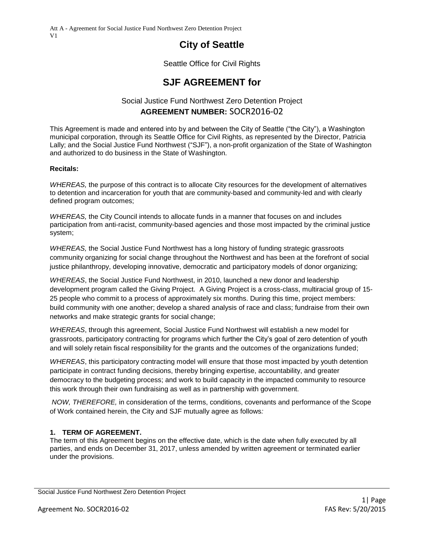# **City of Seattle**

Seattle Office for Civil Rights

# **SJF AGREEMENT for**

# Social Justice Fund Northwest Zero Detention Project **AGREEMENT NUMBER:** SOCR2016-02

This Agreement is made and entered into by and between the City of Seattle ("the City"), a Washington municipal corporation, through its Seattle Office for Civil Rights, as represented by the Director, Patricia Lally; and the Social Justice Fund Northwest ("SJF"), a non-profit organization of the State of Washington and authorized to do business in the State of Washington.

#### **Recitals:**

*WHEREAS,* the purpose of this contract is to allocate City resources for the development of alternatives to detention and incarceration for youth that are community-based and community-led and with clearly defined program outcomes;

*WHEREAS,* the City Council intends to allocate funds in a manner that focuses on and includes participation from anti-racist, community-based agencies and those most impacted by the criminal justice system;

*WHEREAS,* the Social Justice Fund Northwest has a long history of funding strategic grassroots community organizing for social change throughout the Northwest and has been at the forefront of social justice philanthropy, developing innovative, democratic and participatory models of donor organizing;

*WHEREAS*, the Social Justice Fund Northwest, in 2010, launched a new donor and leadership development program called the Giving Project. A Giving Project is a cross-class, multiracial group of 15- 25 people who commit to a process of approximately six months. During this time, project members: build community with one another; develop a shared analysis of race and class; fundraise from their own networks and make strategic grants for social change;

*WHEREAS*, through this agreement, Social Justice Fund Northwest will establish a new model for grassroots, participatory contracting for programs which further the City's goal of zero detention of youth and will solely retain fiscal responsibility for the grants and the outcomes of the organizations funded;

*WHEREAS*, this participatory contracting model will ensure that those most impacted by youth detention participate in contract funding decisions, thereby bringing expertise, accountability, and greater democracy to the budgeting process; and work to build capacity in the impacted community to resource this work through their own fundraising as well as in partnership with government.

*NOW, THEREFORE,* in consideration of the terms, conditions, covenants and performance of the Scope of Work contained herein, the City and SJF mutually agree as follows*:*

#### **1. TERM OF AGREEMENT.**

The term of this Agreement begins on the effective date, which is the date when fully executed by all parties, and ends on December 31, 2017, unless amended by written agreement or terminated earlier under the provisions.

Social Justice Fund Northwest Zero Detention Project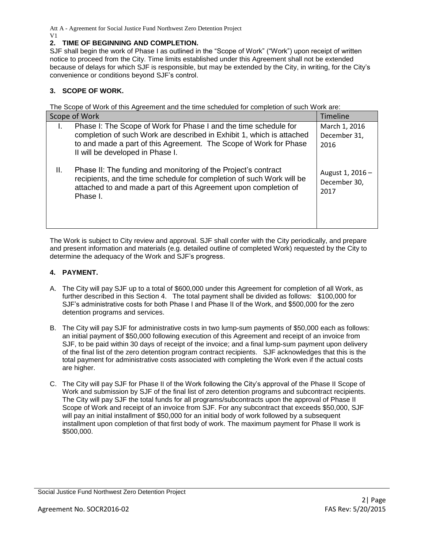# **2. TIME OF BEGINNING AND COMPLETION.**

SJF shall begin the work of Phase I as outlined in the "Scope of Work" ("Work") upon receipt of written notice to proceed from the City. Time limits established under this Agreement shall not be extended because of delays for which SJF is responsible, but may be extended by the City, in writing, for the City's convenience or conditions beyond SJF's control.

# **3. SCOPE OF WORK.**

The Scope of Work of this Agreement and the time scheduled for completion of such Work are:

| Scope of Work                                                                                                                                                                                                                                      | <b>Timeline</b>                          |
|----------------------------------------------------------------------------------------------------------------------------------------------------------------------------------------------------------------------------------------------------|------------------------------------------|
| Phase I: The Scope of Work for Phase I and the time schedule for<br>completion of such Work are described in Exhibit 1, which is attached<br>to and made a part of this Agreement. The Scope of Work for Phase<br>II will be developed in Phase I. | March 1, 2016<br>December 31,<br>2016    |
| Ш.<br>Phase II: The funding and monitoring of the Project's contract<br>recipients, and the time schedule for completion of such Work will be<br>attached to and made a part of this Agreement upon completion of<br>Phase I.                      | August 1, 2016 -<br>December 30,<br>2017 |

The Work is subject to City review and approval. SJF shall confer with the City periodically, and prepare and present information and materials (e.g. detailed outline of completed Work) requested by the City to determine the adequacy of the Work and SJF's progress.

# **4. PAYMENT.**

- A. The City will pay SJF up to a total of \$600,000 under this Agreement for completion of all Work, as further described in this Section 4. The total payment shall be divided as follows: \$100,000 for SJF's administrative costs for both Phase I and Phase II of the Work, and \$500,000 for the zero detention programs and services.
- B. The City will pay SJF for administrative costs in two lump-sum payments of \$50,000 each as follows: an initial payment of \$50,000 following execution of this Agreement and receipt of an invoice from SJF, to be paid within 30 days of receipt of the invoice; and a final lump-sum payment upon delivery of the final list of the zero detention program contract recipients. SJF acknowledges that this is the total payment for administrative costs associated with completing the Work even if the actual costs are higher.
- C. The City will pay SJF for Phase II of the Work following the City's approval of the Phase II Scope of Work and submission by SJF of the final list of zero detention programs and subcontract recipients. The City will pay SJF the total funds for all programs/subcontracts upon the approval of Phase II Scope of Work and receipt of an invoice from SJF. For any subcontract that exceeds \$50,000, SJF will pay an initial installment of \$50,000 for an initial body of work followed by a subsequent installment upon completion of that first body of work. The maximum payment for Phase II work is \$500,000.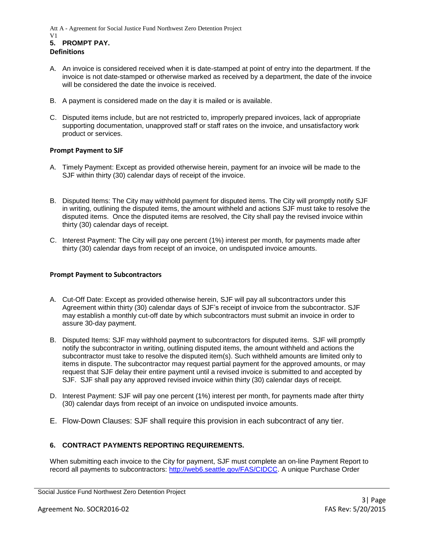- A. An invoice is considered received when it is date-stamped at point of entry into the department. If the invoice is not date-stamped or otherwise marked as received by a department, the date of the invoice will be considered the date the invoice is received.
- B. A payment is considered made on the day it is mailed or is available.
- C. Disputed items include, but are not restricted to, improperly prepared invoices, lack of appropriate supporting documentation, unapproved staff or staff rates on the invoice, and unsatisfactory work product or services.

#### **Prompt Payment to SJF**

- A. Timely Payment: Except as provided otherwise herein, payment for an invoice will be made to the SJF within thirty (30) calendar days of receipt of the invoice.
- B. Disputed Items: The City may withhold payment for disputed items. The City will promptly notify SJF in writing, outlining the disputed items, the amount withheld and actions SJF must take to resolve the disputed items. Once the disputed items are resolved, the City shall pay the revised invoice within thirty (30) calendar days of receipt.
- C. Interest Payment: The City will pay one percent (1%) interest per month, for payments made after thirty (30) calendar days from receipt of an invoice, on undisputed invoice amounts.

#### **Prompt Payment to Subcontractors**

- A. Cut-Off Date: Except as provided otherwise herein, SJF will pay all subcontractors under this Agreement within thirty (30) calendar days of SJF's receipt of invoice from the subcontractor. SJF may establish a monthly cut-off date by which subcontractors must submit an invoice in order to assure 30-day payment.
- B. Disputed Items: SJF may withhold payment to subcontractors for disputed items. SJF will promptly notify the subcontractor in writing, outlining disputed items, the amount withheld and actions the subcontractor must take to resolve the disputed item(s). Such withheld amounts are limited only to items in dispute. The subcontractor may request partial payment for the approved amounts, or may request that SJF delay their entire payment until a revised invoice is submitted to and accepted by SJF. SJF shall pay any approved revised invoice within thirty (30) calendar days of receipt.
- D. Interest Payment: SJF will pay one percent (1%) interest per month, for payments made after thirty (30) calendar days from receipt of an invoice on undisputed invoice amounts.
- E. Flow-Down Clauses: SJF shall require this provision in each subcontract of any tier.

#### **6. CONTRACT PAYMENTS REPORTING REQUIREMENTS.**

When submitting each invoice to the City for payment, SJF must complete an on-line Payment Report to record all payments to subcontractors: [http://web6.seattle.gov/FAS/CIDCC.](http://web6.seattle.gov/FAS/CIDCC) A unique Purchase Order

Social Justice Fund Northwest Zero Detention Project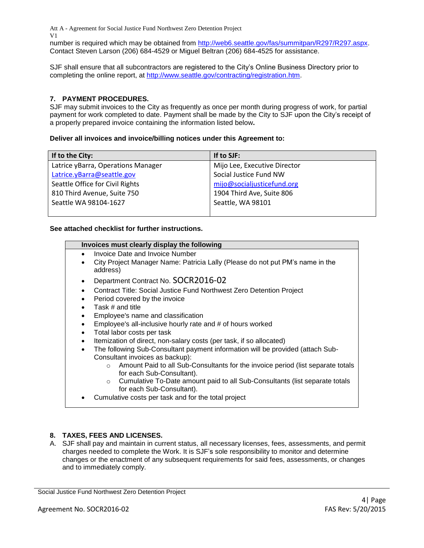number is required which may be obtained from [http://web6.seattle.gov/fas/summitpan/R297/R297.aspx.](http://web6.seattle.gov/fas/summitpan/R297/R297.aspx) Contact Steven Larson (206) 684-4529 or Miguel Beltran (206) 684-4525 for assistance.

SJF shall ensure that all subcontractors are registered to the City's Online Business Directory prior to completing the online report, at http://www.seattle.gov/contracting/registration.htm.

# **7. PAYMENT PROCEDURES.**

SJF may submit invoices to the City as frequently as once per month during progress of work, for partial payment for work completed to date. Payment shall be made by the City to SJF upon the City's receipt of a properly prepared invoice containing the information listed below**.**

#### **Deliver all invoices and invoice/billing notices under this Agreement to:**

| If to the City:                    | If to SJF:                   |
|------------------------------------|------------------------------|
| Latrice yBarra, Operations Manager | Mijo Lee, Executive Director |
| Latrice.yBarra@seattle.gov         | Social Justice Fund NW       |
| Seattle Office for Civil Rights    | mijo@socialjusticefund.org   |
| 810 Third Avenue, Suite 750        | 1904 Third Ave, Suite 806    |
| Seattle WA 98104-1627              | Seattle, WA 98101            |
|                                    |                              |

#### **See attached checklist for further instructions.**

| Invoices must clearly display the following                                                 |
|---------------------------------------------------------------------------------------------|
| Invoice Date and Invoice Number<br>$\bullet$                                                |
| City Project Manager Name: Patricia Lally (Please do not put PM's name in the<br>address)   |
| Department Contract No. SOCR2016-02<br>$\bullet$                                            |
| Contract Title: Social Justice Fund Northwest Zero Detention Project<br>$\bullet$           |
| Period covered by the invoice                                                               |
| Task # and title                                                                            |
| Employee's name and classification<br>$\bullet$                                             |
| Employee's all-inclusive hourly rate and # of hours worked<br>$\bullet$                     |
| Total labor costs per task<br>$\bullet$                                                     |
| Itemization of direct, non-salary costs (per task, if so allocated)<br>$\bullet$            |
| The following Sub-Consultant payment information will be provided (attach Sub-              |
| Consultant invoices as backup):                                                             |
| Amount Paid to all Sub-Consultants for the invoice period (list separate totals<br>$\Omega$ |
| for each Sub-Consultant).                                                                   |
| Cumulative To-Date amount paid to all Sub-Consultants (list separate totals<br>$\circ$      |
| for each Sub-Consultant).                                                                   |
| Cumulative costs per task and for the total project                                         |

#### **8. TAXES, FEES AND LICENSES.**

A. SJF shall pay and maintain in current status, all necessary licenses, fees, assessments, and permit charges needed to complete the Work. It is SJF's sole responsibility to monitor and determine changes or the enactment of any subsequent requirements for said fees, assessments, or changes and to immediately comply.

Social Justice Fund Northwest Zero Detention Project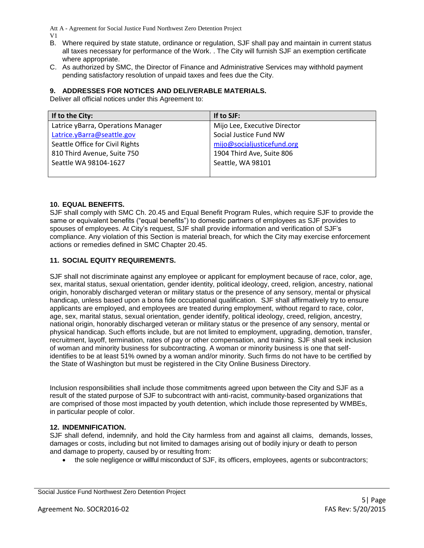- B. Where required by state statute, ordinance or regulation, SJF shall pay and maintain in current status all taxes necessary for performance of the Work. . The City will furnish SJF an exemption certificate where appropriate.
- C. As authorized by SMC, the Director of Finance and Administrative Services may withhold payment pending satisfactory resolution of unpaid taxes and fees due the City.

#### **9. ADDRESSES FOR NOTICES AND DELIVERABLE MATERIALS.**

Deliver all official notices under this Agreement to:

| If to the City:                    | If to SJF:                   |
|------------------------------------|------------------------------|
| Latrice yBarra, Operations Manager | Mijo Lee, Executive Director |
| Latrice.yBarra@seattle.gov         | Social Justice Fund NW       |
| Seattle Office for Civil Rights    | mijo@socialjusticefund.org   |
| 810 Third Avenue, Suite 750        | 1904 Third Ave, Suite 806    |
| Seattle WA 98104-1627              | Seattle, WA 98101            |
|                                    |                              |

#### **10. EQUAL BENEFITS.**

SJF shall comply with SMC Ch. 20.45 and Equal Benefit Program Rules, which require SJF to provide the same or equivalent benefits ("equal benefits") to domestic partners of employees as SJF provides to spouses of employees. At City's request, SJF shall provide information and verification of SJF's compliance. Any violation of this Section is material breach, for which the City may exercise enforcement actions or remedies defined in SMC Chapter 20.45.

#### **11. SOCIAL EQUITY REQUIREMENTS.**

SJF shall not discriminate against any employee or applicant for employment because of race, color, age, sex, marital status, sexual orientation, gender identity, political ideology, creed, religion, ancestry, national origin, honorably discharged veteran or military status or the presence of any sensory, mental or physical handicap, unless based upon a bona fide occupational qualification. SJF shall affirmatively try to ensure applicants are employed, and employees are treated during employment, without regard to race, color, age, sex, marital status, sexual orientation, gender identify, political ideology, creed, religion, ancestry, national origin, honorably discharged veteran or military status or the presence of any sensory, mental or physical handicap. Such efforts include, but are not limited to employment, upgrading, demotion, transfer, recruitment, layoff, termination, rates of pay or other compensation, and training. SJF shall seek inclusion of woman and minority business for subcontracting. A woman or minority business is one that selfidentifies to be at least 51% owned by a woman and/or minority. Such firms do not have to be certified by the State of Washington but must be registered in the City Online Business Directory.

Inclusion responsibilities shall include those commitments agreed upon between the City and SJF as a result of the stated purpose of SJF to subcontract with anti-racist, community-based organizations that are comprised of those most impacted by youth detention, which include those represented by WMBEs, in particular people of color.

#### **12. INDEMNIFICATION.**

SJF shall defend, indemnify, and hold the City harmless from and against all claims, demands, losses, damages or costs, including but not limited to damages arising out of bodily injury or death to person and damage to property, caused by or resulting from:

the sole negligence or willful misconduct of SJF, its officers, employees, agents or subcontractors;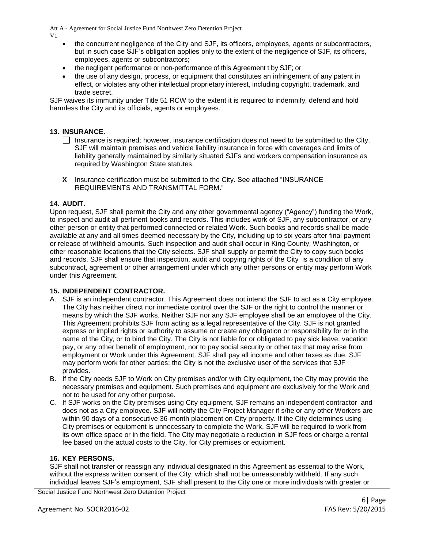V1

- the concurrent negligence of the City and SJF, its officers, employees, agents or subcontractors, but in such case SJF's obligation applies only to the extent of the negligence of SJF, its officers, employees, agents or subcontractors;
- the negligent performance or non-performance of this Agreement t by SJF; or
- the use of any design, process, or equipment that constitutes an infringement of any patent in effect, or violates any other intellectual proprietary interest, including copyright, trademark, and trade secret.

SJF waives its immunity under Title 51 RCW to the extent it is required to indemnify, defend and hold harmless the City and its officials, agents or employees.

# **13. INSURANCE.**

- $\Box$  Insurance is required; however, insurance certification does not need to be submitted to the City. SJF will maintain premises and vehicle liability insurance in force with coverages and limits of liability generally maintained by similarly situated SJFs and workers compensation insurance as required by Washington State statutes.
- **X** Insurance certification must be submitted to the City. See attached "INSURANCE REQUIREMENTS AND TRANSMITTAL FORM."

#### **14. AUDIT.**

Upon request, SJF shall permit the City and any other governmental agency ("Agency") funding the Work, to inspect and audit all pertinent books and records. This includes work of SJF, any subcontractor, or any other person or entity that performed connected or related Work. Such books and records shall be made available at any and all times deemed necessary by the City, including up to six years after final payment or release of withheld amounts. Such inspection and audit shall occur in King County, Washington, or other reasonable locations that the City selects. SJF shall supply or permit the City to copy such books and records. SJF shall ensure that inspection, audit and copying rights of the City is a condition of any subcontract, agreement or other arrangement under which any other persons or entity may perform Work under this Agreement.

#### **15. INDEPENDENT CONTRACTOR.**

- A. SJF is an independent contractor. This Agreement does not intend the SJF to act as a City employee. The City has neither direct nor immediate control over the SJF or the right to control the manner or means by which the SJF works. Neither SJF nor any SJF employee shall be an employee of the City. This Agreement prohibits SJF from acting as a legal representative of the City. SJF is not granted express or implied rights or authority to assume or create any obligation or responsibility for or in the name of the City, or to bind the City. The City is not liable for or obligated to pay sick leave, vacation pay, or any other benefit of employment, nor to pay social security or other tax that may arise from employment or Work under this Agreement. SJF shall pay all income and other taxes as due. SJF may perform work for other parties; the City is not the exclusive user of the services that SJF provides.
- B. If the City needs SJF to Work on City premises and/or with City equipment, the City may provide the necessary premises and equipment. Such premises and equipment are exclusively for the Work and not to be used for any other purpose.
- C. If SJF works on the City premises using City equipment, SJF remains an independent contractor and does not as a City employee. SJF will notify the City Project Manager if s/he or any other Workers are within 90 days of a consecutive 36-month placement on City property. If the City determines using City premises or equipment is unnecessary to complete the Work, SJF will be required to work from its own office space or in the field. The City may negotiate a reduction in SJF fees or charge a rental fee based on the actual costs to the City, for City premises or equipment.

#### **16. KEY PERSONS.**

SJF shall not transfer or reassign any individual designated in this Agreement as essential to the Work, without the express written consent of the City, which shall not be unreasonably withheld. If any such individual leaves SJF's employment, SJF shall present to the City one or more individuals with greater or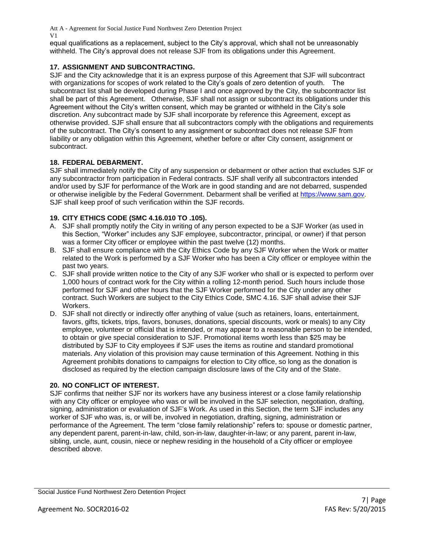equal qualifications as a replacement, subject to the City's approval, which shall not be unreasonably withheld. The City's approval does not release SJF from its obligations under this Agreement.

# **17. ASSIGNMENT AND SUBCONTRACTING.**

SJF and the City acknowledge that it is an express purpose of this Agreement that SJF will subcontract with organizations for scopes of work related to the City's goals of zero detention of youth. The subcontract list shall be developed during Phase I and once approved by the City, the subcontractor list shall be part of this Agreement. Otherwise, SJF shall not assign or subcontract its obligations under this Agreement without the City's written consent, which may be granted or withheld in the City's sole discretion. Any subcontract made by SJF shall incorporate by reference this Agreement, except as otherwise provided. SJF shall ensure that all subcontractors comply with the obligations and requirements of the subcontract. The City's consent to any assignment or subcontract does not release SJF from liability or any obligation within this Agreement, whether before or after City consent, assignment or subcontract.

#### **18. FEDERAL DEBARMENT.**

SJF shall immediately notify the City of any suspension or debarment or other action that excludes SJF or any subcontractor from participation in Federal contracts. SJF shall verify all subcontractors intended and/or used by SJF for performance of the Work are in good standing and are not debarred, suspended or otherwise ineligible by the Federal Government. Debarment shall be verified at [https://www.sam.gov.](https://www.sam.gov/) SJF shall keep proof of such verification within the SJF records.

# **19. CITY ETHICS CODE (SMC 4.16.010 TO .105).**

- A. SJF shall promptly notify the City in writing of any person expected to be a SJF Worker (as used in this Section, "Worker" includes any SJF employee, subcontractor, principal, or owner) if that person was a former City officer or employee within the past twelve (12) months.
- B. SJF shall ensure compliance with the City Ethics Code by any SJF Worker when the Work or matter related to the Work is performed by a SJF Worker who has been a City officer or employee within the past two years.
- C. SJF shall provide written notice to the City of any SJF worker who shall or is expected to perform over 1,000 hours of contract work for the City within a rolling 12-month period. Such hours include those performed for SJF and other hours that the SJF Worker performed for the City under any other contract. Such Workers are subject to the City Ethics Code, SMC 4.16. SJF shall advise their SJF Workers.
- D. SJF shall not directly or indirectly offer anything of value (such as retainers, loans, entertainment, favors, gifts, tickets, trips, favors, bonuses, donations, special discounts, work or meals) to any City employee, volunteer or official that is intended, or may appear to a reasonable person to be intended, to obtain or give special consideration to SJF. Promotional items worth less than \$25 may be distributed by SJF to City employees if SJF uses the items as routine and standard promotional materials. Any violation of this provision may cause termination of this Agreement. Nothing in this Agreement prohibits donations to campaigns for election to City office, so long as the donation is disclosed as required by the election campaign disclosure laws of the City and of the State.

#### **20. NO CONFLICT OF INTEREST.**

SJF confirms that neither SJF nor its workers have any business interest or a close family relationship with any City officer or employee who was or will be involved in the SJF selection, negotiation, drafting, signing, administration or evaluation of SJF's Work. As used in this Section, the term SJF includes any worker of SJF who was, is, or will be, involved in negotiation, drafting, signing, administration or performance of the Agreement. The term "close family relationship" refers to: spouse or domestic partner, any dependent parent, parent-in-law, child, son-in-law, daughter-in-law; or any parent, parent in-law, sibling, uncle, aunt, cousin, niece or nephew residing in the household of a City officer or employee described above.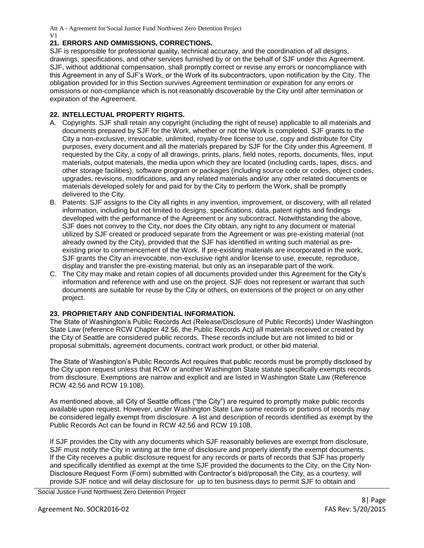#### **21. ERRORS AND OMMISSIONS, CORRECTIONS.**

SJF is responsible for professional quality, technical accuracy, and the coordination of all designs, drawings, specifications, and other services furnished by or on the behalf of SJF under this Agreement. SJF, without additional compensation, shall promptly correct or revise any errors or noncompliance with this Agreement in any of SJF's Work, or the Work of its subcontractors, upon notification by the City. The obligation provided for in this Section survives Agreement termination or expiration for any errors or omissions or non-compliance which is not reasonably discoverable by the City until after termination or expiration of the Agreement.

#### **22. INTELLECTUAL PROPERTY RIGHTS.**

- A. Copyrights. SJF shall retain any copyright (including the right of reuse) applicable to all materials and documents prepared by SJF for the Work, whether or not the Work is completed. SJF grants to the City a non-exclusive, irrevocable, unlimited, royalty-free license to use, copy and distribute for City purposes, every document and all the materials prepared by SJF for the City under this Agreement. If requested by the City, a copy of all drawings, prints, plans, field notes, reports, documents, files, input materials, output materials, the media upon which they are located (including cards, tapes, discs, and other storage facilities), software program or packages (including source code or codes, object codes, upgrades, revisions, modifications, and any related materials and/or any other related documents or materials developed solely for and paid for by the City to perform the Work, shall be promptly delivered to the City.
- B. Patents: SJF assigns to the City all rights in any invention, improvement, or discovery, with all related information, including but not limited to designs, specifications, data, patent rights and findings developed with the performance of the Agreement or any subcontract. Notwithstanding the above, SJF does not convey to the City, nor does the City obtain, any right to any document or material utilized by SJF created or produced separate from the Agreement or was pre-existing material (not already owned by the City), provided that the SJF has identified in writing such material as preexisting prior to commencement of the Work. If pre-existing materials are incorporated in the work, SJF grants the City an irrevocable, non-exclusive right and/or license to use, execute, reproduce, display and transfer the pre-existing material, but only as an inseparable part of the work.
- C. The City may make and retain copies of all documents provided under this Agreement for the City's information and reference with and use on the project. SJF does not represent or warrant that such documents are suitable for reuse by the City or others, on extensions of the project or on any other project.

#### **23. PROPRIETARY AND CONFIDENTIAL INFORMATION.**

The State of Washington's Public Records Act (Release/Disclosure of Public Records) Under Washington State Law (reference RCW Chapter 42.56, the Public Records Act) all materials received or created by the City of Seattle are considered public records. These records include but are not limited to bid or proposal submittals, agreement documents, contract work product, or other bid material.

The State of Washington's Public Records Act requires that public records must be promptly disclosed by the City upon request unless that RCW or another Washington State statute specifically exempts records from disclosure. Exemptions are narrow and explicit and are listed in Washington State Law (Reference RCW 42.56 and RCW 19.108).

As mentioned above, all City of Seattle offices ("the City") are required to promptly make public records available upon request. However, under Washington State Law some records or portions of records may be considered legally exempt from disclosure. A list and description of records identified as exempt by the Public Records Act can be found in RCW 42.56 and RCW 19.108.

If SJF provides the City with any documents which SJF reasonably believes are exempt from disclosure, SJF must notify the City in writing at the time of disclosure and properly identify the exempt documents. If the City receives a public disclosure request for any records or parts of records that SJF has properly and specifically identified as exempt at the time SJF provided the documents to the City, on the City Non-Disclosure Request Form (Form) submitted with Contractor's bid/proposal\ the City, as a courtesy, will provide SJF notice and will delay disclosure for up to ten business days to permit SJF to obtain and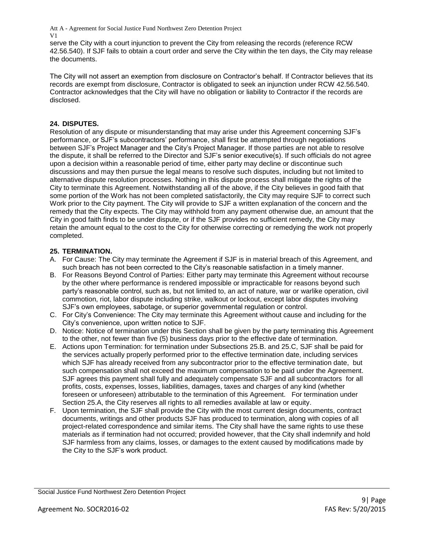serve the City with a court injunction to prevent the City from releasing the records (reference RCW 42.56.540). If SJF fails to obtain a court order and serve the City within the ten days, the City may release the documents.

The City will not assert an exemption from disclosure on Contractor's behalf. If Contractor believes that its records are exempt from disclosure, Contractor is obligated to seek an injunction under RCW 42.56.540. Contractor acknowledges that the City will have no obligation or liability to Contractor if the records are disclosed.

### **24. DISPUTES.**

Resolution of any dispute or misunderstanding that may arise under this Agreement concerning SJF's performance, or SJF's subcontractors' performance, shall first be attempted through negotiations between SJF's Project Manager and the City's Project Manager. If those parties are not able to resolve the dispute, it shall be referred to the Director and SJF's senior executive(s). If such officials do not agree upon a decision within a reasonable period of time, either party may decline or discontinue such discussions and may then pursue the legal means to resolve such disputes, including but not limited to alternative dispute resolution processes. Nothing in this dispute process shall mitigate the rights of the City to terminate this Agreement. Notwithstanding all of the above, if the City believes in good faith that some portion of the Work has not been completed satisfactorily, the City may require SJF to correct such Work prior to the City payment. The City will provide to SJF a written explanation of the concern and the remedy that the City expects. The City may withhold from any payment otherwise due, an amount that the City in good faith finds to be under dispute, or if the SJF provides no sufficient remedy, the City may retain the amount equal to the cost to the City for otherwise correcting or remedying the work not properly completed.

#### **25. TERMINATION.**

- A. For Cause: The City may terminate the Agreement if SJF is in material breach of this Agreement, and such breach has not been corrected to the City's reasonable satisfaction in a timely manner.
- B. For Reasons Beyond Control of Parties: Either party may terminate this Agreement without recourse by the other where performance is rendered impossible or impracticable for reasons beyond such party's reasonable control, such as, but not limited to, an act of nature, war or warlike operation, civil commotion, riot, labor dispute including strike, walkout or lockout, except labor disputes involving SJF's own employees, sabotage, or superior governmental regulation or control.
- C. For City's Convenience: The City may terminate this Agreement without cause and including for the City's convenience, upon written notice to SJF.
- D. Notice: Notice of termination under this Section shall be given by the party terminating this Agreement to the other, not fewer than five (5) business days prior to the effective date of termination.
- E. Actions upon Termination: for termination under Subsections 25.B. and 25.C, SJF shall be paid for the services actually properly performed prior to the effective termination date, including services which SJF has already received from any subcontractor prior to the effective termination date, but such compensation shall not exceed the maximum compensation to be paid under the Agreement. SJF agrees this payment shall fully and adequately compensate SJF and all subcontractors for all profits, costs, expenses, losses, liabilities, damages, taxes and charges of any kind (whether foreseen or unforeseen) attributable to the termination of this Agreement. For termination under Section 25.A, the City reserves all rights to all remedies available at law or equity.
- F. Upon termination, the SJF shall provide the City with the most current design documents, contract documents, writings and other products SJF has produced to termination, along with copies of all project-related correspondence and similar items. The City shall have the same rights to use these materials as if termination had not occurred; provided however, that the City shall indemnify and hold SJF harmless from any claims, losses, or damages to the extent caused by modifications made by the City to the SJF's work product.

Social Justice Fund Northwest Zero Detention Project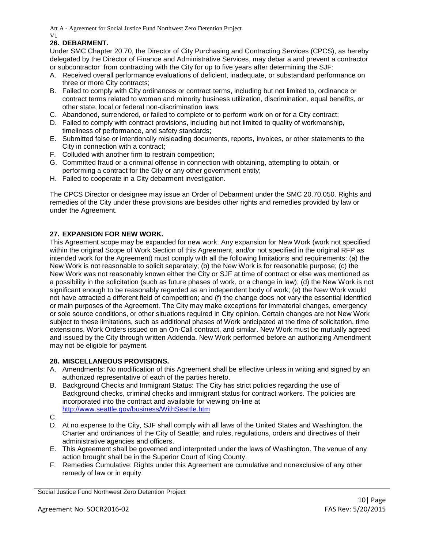# **26. DEBARMENT.**

Under SMC Chapter 20.70, the Director of City Purchasing and Contracting Services (CPCS), as hereby delegated by the Director of Finance and Administrative Services, may debar a and prevent a contractor or subcontractor from contracting with the City for up to five years after determining the SJF:

- A. Received overall performance evaluations of deficient, inadequate, or substandard performance on three or more City contracts;
- B. Failed to comply with City ordinances or contract terms, including but not limited to, ordinance or contract terms related to woman and minority business utilization, discrimination, equal benefits, or other state, local or federal non-discrimination laws;
- C. Abandoned, surrendered, or failed to complete or to perform work on or for a City contract;
- D. Failed to comply with contract provisions, including but not limited to quality of workmanship, timeliness of performance, and safety standards;
- E. Submitted false or intentionally misleading documents, reports, invoices, or other statements to the City in connection with a contract;
- F. Colluded with another firm to restrain competition;
- G. Committed fraud or a criminal offense in connection with obtaining, attempting to obtain, or performing a contract for the City or any other government entity;
- H. Failed to cooperate in a City debarment investigation.

The CPCS Director or designee may issue an Order of Debarment under the SMC 20.70.050. Rights and remedies of the City under these provisions are besides other rights and remedies provided by law or under the Agreement.

# **27. EXPANSION FOR NEW WORK.**

This Agreement scope may be expanded for new work. Any expansion for New Work (work not specified within the original Scope of Work Section of this Agreement, and/or not specified in the original RFP as intended work for the Agreement) must comply with all the following limitations and requirements: (a) the New Work is not reasonable to solicit separately; (b) the New Work is for reasonable purpose; (c) the New Work was not reasonably known either the City or SJF at time of contract or else was mentioned as a possibility in the solicitation (such as future phases of work, or a change in law); (d) the New Work is not significant enough to be reasonably regarded as an independent body of work; (e) the New Work would not have attracted a different field of competition; and (f) the change does not vary the essential identified or main purposes of the Agreement. The City may make exceptions for immaterial changes, emergency or sole source conditions, or other situations required in City opinion. Certain changes are not New Work subject to these limitations, such as additional phases of Work anticipated at the time of solicitation, time extensions, Work Orders issued on an On-Call contract, and similar. New Work must be mutually agreed and issued by the City through written Addenda. New Work performed before an authorizing Amendment may not be eligible for payment.

#### **28. MISCELLANEOUS PROVISIONS.**

- A. Amendments: No modification of this Agreement shall be effective unless in writing and signed by an authorized representative of each of the parties hereto.
- B. Background Checks and Immigrant Status: The City has strict policies regarding the use of Background checks, criminal checks and immigrant status for contract workers. The policies are incorporated into the contract and available for viewing on-line at <http://www.seattle.gov/business/WithSeattle.htm>
- C.
- D. At no expense to the City, SJF shall comply with all laws of the United States and Washington, the Charter and ordinances of the City of Seattle; and rules, regulations, orders and directives of their administrative agencies and officers.
- E. This Agreement shall be governed and interpreted under the laws of Washington. The venue of any action brought shall be in the Superior Court of King County.
- F. Remedies Cumulative: Rights under this Agreement are cumulative and nonexclusive of any other remedy of law or in equity.

Social Justice Fund Northwest Zero Detention Project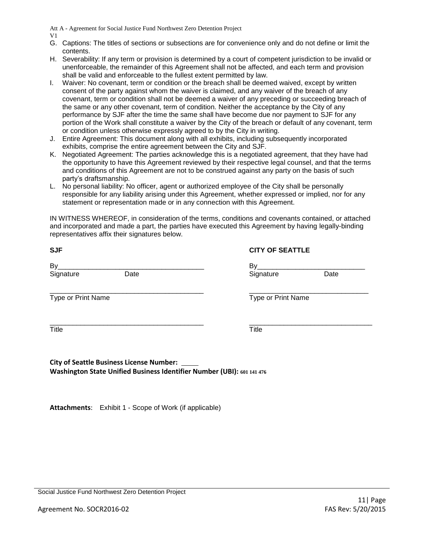V1

- G. Captions: The titles of sections or subsections are for convenience only and do not define or limit the contents.
- H. Severability: If any term or provision is determined by a court of competent jurisdiction to be invalid or unenforceable, the remainder of this Agreement shall not be affected, and each term and provision shall be valid and enforceable to the fullest extent permitted by law.
- I. Waiver: No covenant, term or condition or the breach shall be deemed waived, except by written consent of the party against whom the waiver is claimed, and any waiver of the breach of any covenant, term or condition shall not be deemed a waiver of any preceding or succeeding breach of the same or any other covenant, term of condition. Neither the acceptance by the City of any performance by SJF after the time the same shall have become due nor payment to SJF for any portion of the Work shall constitute a waiver by the City of the breach or default of any covenant, term or condition unless otherwise expressly agreed to by the City in writing.
- J. Entire Agreement: This document along with all exhibits, including subsequently incorporated exhibits, comprise the entire agreement between the City and SJF.
- K. Negotiated Agreement: The parties acknowledge this is a negotiated agreement, that they have had the opportunity to have this Agreement reviewed by their respective legal counsel, and that the terms and conditions of this Agreement are not to be construed against any party on the basis of such party's draftsmanship.
- L. No personal liability: No officer, agent or authorized employee of the City shall be personally responsible for any liability arising under this Agreement, whether expressed or implied, nor for any statement or representation made or in any connection with this Agreement.

IN WITNESS WHEREOF, in consideration of the terms, conditions and covenants contained, or attached and incorporated and made a part, the parties have executed this Agreement by having legally-binding representatives affix their signatures below.

| <b>SJF</b>              | <b>CITY OF SEATTLE</b>  |
|-------------------------|-------------------------|
| By<br>Date<br>Signature | By<br>Date<br>Signature |
| Type or Print Name      | Type or Print Name      |
| Title                   | <b>Title</b>            |

**City of Seattle Business License Number: Washington State Unified Business Identifier Number (UBI): 601 141 476**

**Attachments**: Exhibit 1 - Scope of Work (if applicable)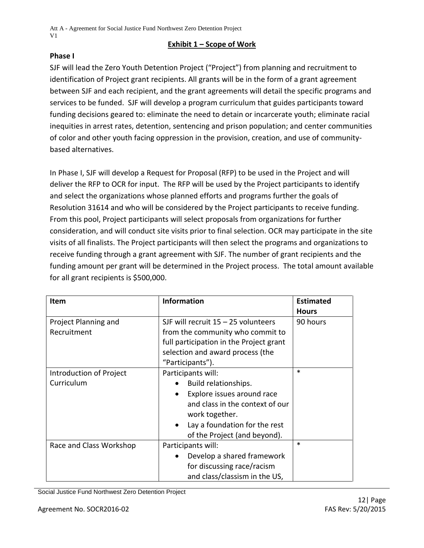# **Exhibit 1 – Scope of Work**

# **Phase I**

SJF will lead the Zero Youth Detention Project ("Project") from planning and recruitment to identification of Project grant recipients. All grants will be in the form of a grant agreement between SJF and each recipient, and the grant agreements will detail the specific programs and services to be funded. SJF will develop a program curriculum that guides participants toward funding decisions geared to: eliminate the need to detain or incarcerate youth; eliminate racial inequities in arrest rates, detention, sentencing and prison population; and center communities of color and other youth facing oppression in the provision, creation, and use of communitybased alternatives.

In Phase I, SJF will develop a Request for Proposal (RFP) to be used in the Project and will deliver the RFP to OCR for input. The RFP will be used by the Project participants to identify and select the organizations whose planned efforts and programs further the goals of Resolution 31614 and who will be considered by the Project participants to receive funding. From this pool, Project participants will select proposals from organizations for further consideration, and will conduct site visits prior to final selection. OCR may participate in the site visits of all finalists. The Project participants will then select the programs and organizations to receive funding through a grant agreement with SJF. The number of grant recipients and the funding amount per grant will be determined in the Project process. The total amount available for all grant recipients is \$500,000.

| <b>Item</b>             | <b>Information</b>                         | <b>Estimated</b> |
|-------------------------|--------------------------------------------|------------------|
|                         |                                            | <b>Hours</b>     |
| Project Planning and    | SJF will recruit $15 - 25$ volunteers      | 90 hours         |
| Recruitment             | from the community who commit to           |                  |
|                         | full participation in the Project grant    |                  |
|                         | selection and award process (the           |                  |
|                         | "Participants").                           |                  |
| Introduction of Project | Participants will:                         | $\ast$           |
| Curriculum              | Build relationships.                       |                  |
|                         | Explore issues around race<br>$\bullet$    |                  |
|                         | and class in the context of our            |                  |
|                         | work together.                             |                  |
|                         | Lay a foundation for the rest<br>$\bullet$ |                  |
|                         | of the Project (and beyond).               |                  |
| Race and Class Workshop | Participants will:                         | $\ast$           |
|                         | Develop a shared framework                 |                  |
|                         | for discussing race/racism                 |                  |
|                         | and class/classism in the US,              |                  |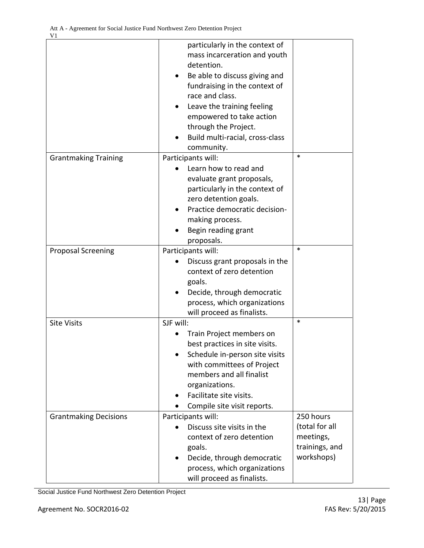V1

|                              | particularly in the context of<br>mass incarceration and youth<br>detention.<br>Be able to discuss giving and<br>fundraising in the context of<br>race and class.<br>Leave the training feeling<br>empowered to take action<br>through the Project.<br>Build multi-racial, cross-class<br>community. |                                                                          |
|------------------------------|------------------------------------------------------------------------------------------------------------------------------------------------------------------------------------------------------------------------------------------------------------------------------------------------------|--------------------------------------------------------------------------|
| <b>Grantmaking Training</b>  | Participants will:<br>Learn how to read and<br>evaluate grant proposals,<br>particularly in the context of<br>zero detention goals.<br>Practice democratic decision-<br>making process.<br>Begin reading grant<br>proposals.                                                                         | $\ast$                                                                   |
| <b>Proposal Screening</b>    | Participants will:<br>Discuss grant proposals in the<br>context of zero detention<br>goals.<br>Decide, through democratic<br>process, which organizations<br>will proceed as finalists.                                                                                                              | $\ast$                                                                   |
| <b>Site Visits</b>           | SJF will:<br>Train Project members on<br>best practices in site visits.<br>Schedule in-person site visits<br>with committees of Project<br>members and all finalist<br>organizations.<br>Facilitate site visits.<br>Compile site visit reports.                                                      | $\ast$                                                                   |
| <b>Grantmaking Decisions</b> | Participants will:<br>Discuss site visits in the<br>context of zero detention<br>goals.<br>Decide, through democratic<br>process, which organizations<br>will proceed as finalists.                                                                                                                  | 250 hours<br>(total for all<br>meetings,<br>trainings, and<br>workshops) |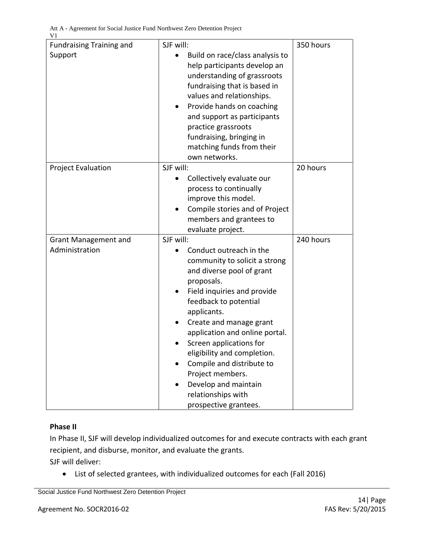| <b>Fundraising Training and</b> | SJF will:                                                       | 350 hours |
|---------------------------------|-----------------------------------------------------------------|-----------|
| Support                         | Build on race/class analysis to<br>help participants develop an |           |
|                                 | understanding of grassroots                                     |           |
|                                 | fundraising that is based in                                    |           |
|                                 | values and relationships.                                       |           |
|                                 |                                                                 |           |
|                                 | Provide hands on coaching<br>٠                                  |           |
|                                 | and support as participants                                     |           |
|                                 | practice grassroots                                             |           |
|                                 | fundraising, bringing in                                        |           |
|                                 | matching funds from their                                       |           |
|                                 | own networks.                                                   |           |
| <b>Project Evaluation</b>       | SJF will:                                                       | 20 hours  |
|                                 | Collectively evaluate our<br>$\bullet$                          |           |
|                                 | process to continually                                          |           |
|                                 | improve this model.                                             |           |
|                                 | Compile stories and of Project                                  |           |
|                                 | members and grantees to                                         |           |
|                                 | evaluate project.                                               |           |
| <b>Grant Management and</b>     | SJF will:                                                       | 240 hours |
| Administration                  | Conduct outreach in the                                         |           |
|                                 | community to solicit a strong                                   |           |
|                                 | and diverse pool of grant                                       |           |
|                                 | proposals.                                                      |           |
|                                 | Field inquiries and provide                                     |           |
|                                 | feedback to potential                                           |           |
|                                 | applicants.                                                     |           |
|                                 | Create and manage grant                                         |           |
|                                 | application and online portal.                                  |           |
|                                 | Screen applications for                                         |           |
|                                 | eligibility and completion.                                     |           |
|                                 | Compile and distribute to                                       |           |
|                                 | Project members.                                                |           |
|                                 | Develop and maintain                                            |           |
|                                 | relationships with                                              |           |
|                                 | prospective grantees.                                           |           |

# **Phase II**

In Phase II, SJF will develop individualized outcomes for and execute contracts with each grant recipient, and disburse, monitor, and evaluate the grants. SJF will deliver:

List of selected grantees, with individualized outcomes for each (Fall 2016)

Social Justice Fund Northwest Zero Detention Project